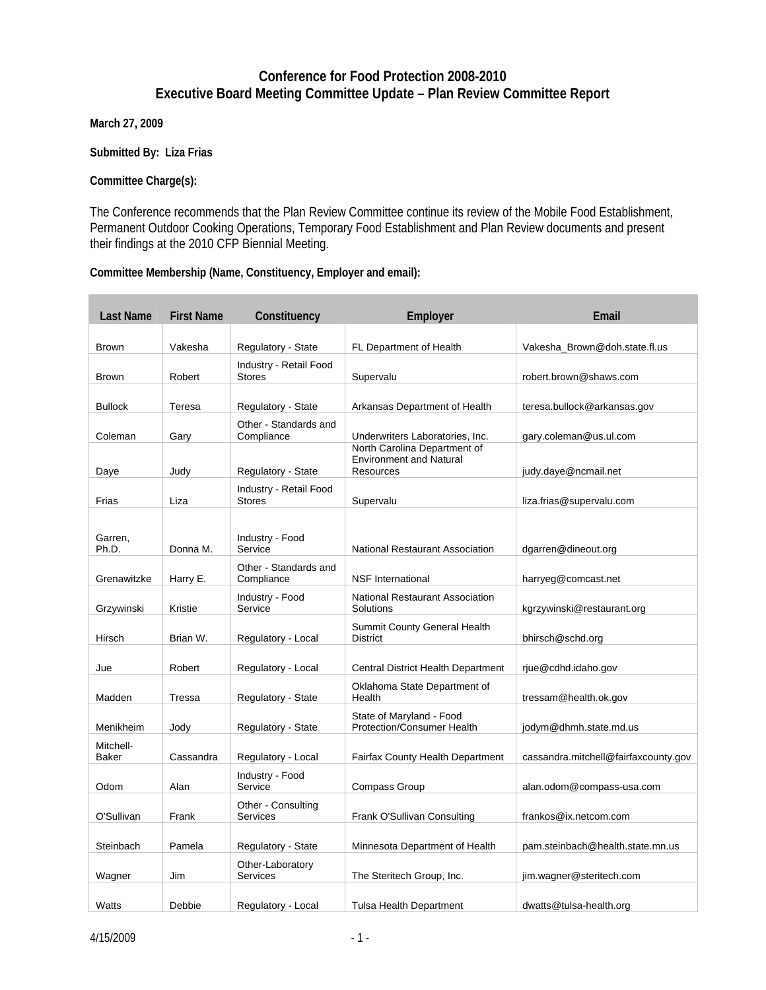## **Conference for Food Protection 2008-2010 Executive Board Meeting Committee Update – Plan Review Committee Report**

**March 27, 2009**

**Submitted By: Liza Frias** 

## **Committee Charge(s):**

The Conference recommends that the Plan Review Committee continue its review of the Mobile Food Establishment, Permanent Outdoor Cooking Operations, Temporary Food Establishment and Plan Review documents and present their findings at the 2010 CFP Biennial Meeting.

## **Committee Membership (Name, Constituency, Employer and email):**

| <b>Last Name</b> | <b>First Name</b> | Constituency                            | Employer                                                                           | Email                                |
|------------------|-------------------|-----------------------------------------|------------------------------------------------------------------------------------|--------------------------------------|
|                  |                   |                                         |                                                                                    |                                      |
| <b>Brown</b>     | Vakesha           | Regulatory - State                      | FL Department of Health                                                            | Vakesha Brown@doh.state.fl.us        |
| <b>Brown</b>     | Robert            | Industry - Retail Food<br><b>Stores</b> | Supervalu                                                                          | robert.brown@shaws.com               |
| <b>Bullock</b>   | Teresa            | Regulatory - State                      | Arkansas Department of Health                                                      | teresa.bullock@arkansas.gov          |
| Coleman          | Gary              | Other - Standards and<br>Compliance     | Underwriters Laboratories, Inc.                                                    | gary.coleman@us.ul.com               |
|                  |                   |                                         | North Carolina Department of<br><b>Environment and Natural</b><br><b>Resources</b> |                                      |
| Daye             | Judy              | Regulatory - State                      |                                                                                    | judy.daye@ncmail.net                 |
| Frias            | Liza              | Industry - Retail Food<br><b>Stores</b> | Supervalu                                                                          | liza.frias@supervalu.com             |
| Garren,<br>Ph.D. | Donna M.          | Industry - Food<br>Service              | National Restaurant Association                                                    | dgarren@dineout.org                  |
|                  |                   |                                         |                                                                                    |                                      |
| Grenawitzke      | Harry E.          | Other - Standards and<br>Compliance     | <b>NSF</b> International                                                           | harryeg@comcast.net                  |
| Grzywinski       | Kristie           | Industry - Food<br>Service              | <b>National Restaurant Association</b><br>Solutions                                | kgrzywinski@restaurant.org           |
| Hirsch           | Brian W.          | Regulatory - Local                      | Summit County General Health<br><b>District</b>                                    | bhirsch@schd.org                     |
| Jue              | Robert            | Regulatory - Local                      | Central District Health Department                                                 | rjue@cdhd.idaho.gov                  |
| Madden           | Tressa            | Regulatory - State                      | Oklahoma State Department of<br>Health                                             | tressam@health.ok.gov                |
| Menikheim        | Jody              | Regulatory - State                      | State of Maryland - Food<br>Protection/Consumer Health                             | jodym@dhmh.state.md.us               |
| Mitchell-        |                   |                                         |                                                                                    |                                      |
| <b>Baker</b>     | Cassandra         | Regulatory - Local                      | <b>Fairfax County Health Department</b>                                            | cassandra.mitchell@fairfaxcounty.gov |
| Odom             | Alan              | Industry - Food<br>Service              | <b>Compass Group</b>                                                               | alan.odom@compass-usa.com            |
|                  |                   | Other - Consulting                      |                                                                                    |                                      |
| O'Sullivan       | Frank             | Services                                | Frank O'Sullivan Consulting                                                        | frankos@ix.netcom.com                |
| Steinbach        | Pamela            | Regulatory - State                      | Minnesota Department of Health                                                     | pam.steinbach@health.state.mn.us     |
| Wagner           | Jim               | Other-Laboratory<br>Services            | The Steritech Group, Inc.                                                          | jim.wagner@steritech.com             |
|                  |                   |                                         |                                                                                    |                                      |
| Watts            | Debbie            | Regulatory - Local                      | Tulsa Health Department                                                            | dwatts@tulsa-health.org              |